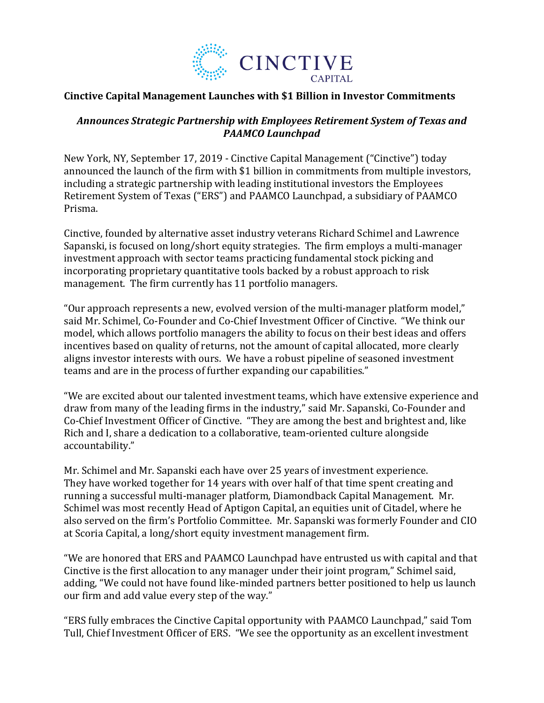

## **Cinctive Capital Management Launches with \$1 Billion in Investor Commitments**

## *Announces Strategic Partnership with Employees Retirement System of Texas and PAAMCO Launchpad*

New York, NY, September 17, 2019 - Cinctive Capital Management ("Cinctive") today announced the launch of the firm with \$1 billion in commitments from multiple investors, including a strategic partnership with leading institutional investors the Employees Retirement System of Texas ("ERS") and PAAMCO Launchpad, a subsidiary of PAAMCO Prisma.

Cinctive, founded by alternative asset industry veterans Richard Schimel and Lawrence Sapanski, is focused on long/short equity strategies. The firm employs a multi-manager investment approach with sector teams practicing fundamental stock picking and incorporating proprietary quantitative tools backed by a robust approach to risk management. The firm currently has 11 portfolio managers.

"Our approach represents a new, evolved version of the multi-manager platform model," said Mr. Schimel, Co-Founder and Co-Chief Investment Officer of Cinctive. "We think our model, which allows portfolio managers the ability to focus on their best ideas and offers incentives based on quality of returns, not the amount of capital allocated, more clearly aligns investor interests with ours. We have a robust pipeline of seasoned investment teams and are in the process of further expanding our capabilities."

"We are excited about our talented investment teams, which have extensive experience and draw from many of the leading firms in the industry," said Mr. Sapanski, Co-Founder and Co-Chief Investment Officer of Cinctive. "They are among the best and brightest and, like Rich and I, share a dedication to a collaborative, team-oriented culture alongside accountability."

Mr. Schimel and Mr. Sapanski each have over 25 years of investment experience. They have worked together for 14 years with over half of that time spent creating and running a successful multi-manager platform, Diamondback Capital Management. Mr. Schimel was most recently Head of Aptigon Capital, an equities unit of Citadel, where he also served on the firm's Portfolio Committee. Mr. Sapanski was formerly Founder and CIO at Scoria Capital, a long/short equity investment management firm.

"We are honored that ERS and PAAMCO Launchpad have entrusted us with capital and that Cinctive is the first allocation to any manager under their joint program," Schimel said, adding, "We could not have found like-minded partners better positioned to help us launch our firm and add value every step of the way."

"ERS fully embraces the Cinctive Capital opportunity with PAAMCO Launchpad," said Tom Tull, Chief Investment Officer of ERS. "We see the opportunity as an excellent investment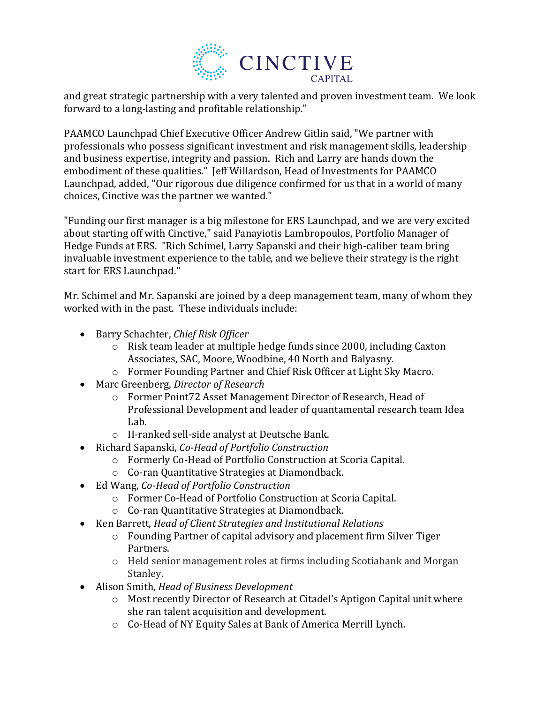

and great strategic partnership with a very talented and proven investment team. We look forward to a long-lasting and profitable relationship."

PAAMCO Launchpad Chief Executive Officer Andrew Gitlin said, "We partner with professionals who possess significant investment and risk management skills, leadership and business expertise, integrity and passion. Rich and Larry are hands down the embodiment of these qualities." Jeff Willardson, Head of Investments for PAAMCO Launchpad, added, "Our rigorous due diligence confirmed for us that in a world of many choices, Cinctive was the partner we wanted."

"Funding our first manager is a big milestone for ERS Launchpad, and we are very excited about starting off with Cinctive," said Panayiotis Lambropoulos, Portfolio Manager of Hedge Funds at ERS. "Rich Schimel, Larry Sapanski and their high-caliber team bring invaluable investment experience to the table, and we believe their strategy is the right start for ERS Launchpad."

Mr. Schimel and Mr. Sapanski are joined by a deep management team, many of whom they worked with in the past. These individuals include:

- Barry Schachter, *Chief Risk Officer*
	- o Risk team leader at multiple hedge funds since 2000, including Caxton Associates, SAC, Moore, Woodbine, 40 North and Balyasny.
	- o Former Founding Partner and Chief Risk Officer at Light Sky Macro.
- Marc Greenberg, *Director of Research*
	- o Former Point72 Asset Management Director of Research, Head of Professional Development and leader of quantamental research team Idea Lab.
	- o II-ranked sell-side analyst at Deutsche Bank.
- Richard Sapanski, *Co-Head of Portfolio Construction*
	- o Formerly Co-Head of Portfolio Construction at Scoria Capital.
	- o Co-ran Quantitative Strategies at Diamondback.
- Ed Wang, *Co-Head of Portfolio Construction*
	- o Former Co-Head of Portfolio Construction at Scoria Capital.
	- o Co-ran Quantitative Strategies at Diamondback.
- Ken Barrett, *Head of Client Strategies and Institutional Relations*
	- o Founding Partner of capital advisory and placement firm Silver Tiger Partners.
	- o Held senior management roles at firms including Scotiabank and Morgan Stanley.
- Alison Smith, *Head of Business Development*
	- o Most recently Director of Research at Citadel's Aptigon Capital unit where she ran talent acquisition and development.
	- o Co-Head of NY Equity Sales at Bank of America Merrill Lynch.